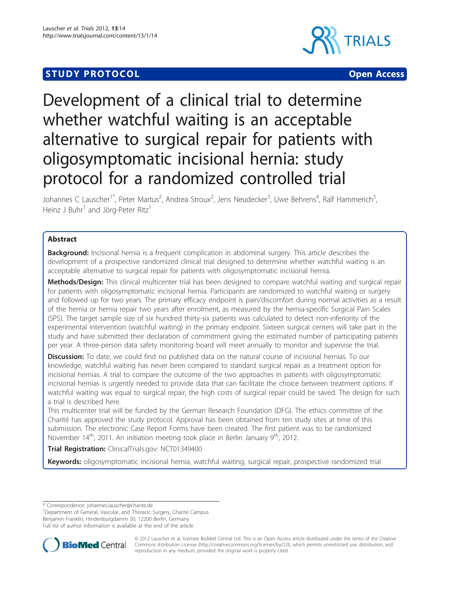# **STUDY PROTOCOL CONSUMING THE CONSUMING OPEN ACCESS**





# Development of a clinical trial to determine whether watchful waiting is an acceptable alternative to surgical repair for patients with oligosymptomatic incisional hernia: study protocol for a randomized controlled trial

Johannes C Lauscher<sup>1\*</sup>, Peter Martus<sup>2</sup>, Andrea Stroux<sup>2</sup>, Jens Neudecker<sup>3</sup>, Uwe Behrens<sup>4</sup>, Ralf Hammerich<sup>5</sup> , Heinz J Buhr<sup>1</sup> and Jörg-Peter Ritz<sup>1</sup>

# Abstract

**Background:** Incisional hernia is a frequent complication in abdominal surgery. This article describes the development of a prospective randomized clinical trial designed to determine whether watchful waiting is an acceptable alternative to surgical repair for patients with oligosymptomatic incisional hernia.

Methods/Design: This clinical multicenter trial has been designed to compare watchful waiting and surgical repair for patients with oligosymptomatic incisional hernia. Participants are randomized to watchful waiting or surgery and followed up for two years. The primary efficacy endpoint is pain/discomfort during normal activities as a result of the hernia or hernia repair two years after enrolment, as measured by the hernia-specific Surgical Pain Scales (SPS). The target sample size of six hundred thirty-six patients was calculated to detect non-inferiority of the experimental intervention (watchful waiting) in the primary endpoint. Sixteen surgical centers will take part in the study and have submitted their declaration of commitment giving the estimated number of participating patients per year. A three-person data safety monitoring board will meet annually to monitor and supervise the trial.

Discussion: To date, we could find no published data on the natural course of incisional hernias. To our knowledge, watchful waiting has never been compared to standard surgical repair as a treatment option for incisional hernias. A trial to compare the outcome of the two approaches in patients with oligosymptomatic incisional hernias is urgently needed to provide data that can facilitate the choice between treatment options. If watchful waiting was equal to surgical repair, the high costs of surgical repair could be saved. The design for such a trial is described here.

This multicenter trial will be funded by the German Research Foundation (DFG). The ethics committee of the Charité has approved the study protocol. Approval has been obtained from ten study sites at time of this submission. The electronic Case Report Forms have been created. The first patient was to be randomized November 14<sup>th</sup>, 2011. An initiation meeting took place in Berlin January 9<sup>th</sup>, 2012.

Trial Registration: ClinicalTrials.gov: [NCT01349400](http://www.clinicaltrials.gov/ct2/show/NCT01349400)

Keywords: oligosymptomatic incisional hernia, watchful waiting, surgical repair, prospective randomized trial

\* Correspondence: [johannes.lauscher@charite.de](mailto:johannes.lauscher@charite.de)

<sup>1</sup> Department of General, Vascular, and Thoracic Surgery, Charité Campus Benjamin Franklin, Hindenburgdamm 30, 12200 Berlin, Germany Full list of author information is available at the end of the article



© 2012 Lauscher et al; licensee BioMed Central Ltd. This is an Open Access article distributed under the terms of the Creative Bio Med Central Commons Attribution License [\(http://creativecommons.org/licenses/by/2.0](http://creativecommons.org/licenses/by/2.0)), which permits unrestricted use, distribution, and reproduction in any medium, provided the original work is properly cited.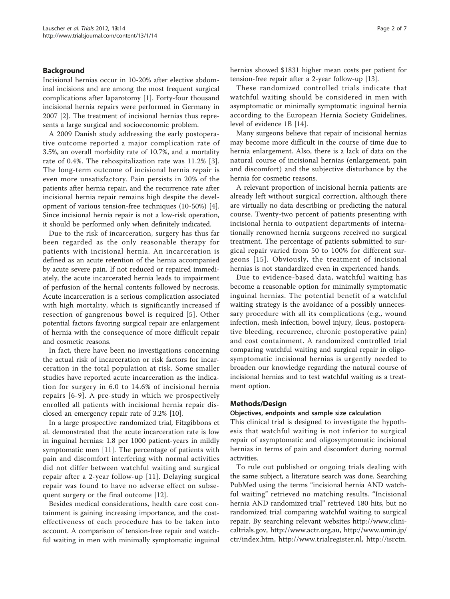# Background

Incisional hernias occur in 10-20% after elective abdominal incisions and are among the most frequent surgical complications after laparotomy [[1\]](#page-6-0). Forty-four thousand incisional hernia repairs were performed in Germany in 2007 [[2\]](#page-6-0). The treatment of incisional hernias thus represents a large surgical and socioeconomic problem.

A 2009 Danish study addressing the early postoperative outcome reported a major complication rate of 3.5%, an overall morbidity rate of 10.7%, and a mortality rate of 0.4%. The rehospitalization rate was 11.2% [[3\]](#page-6-0). The long-term outcome of incisional hernia repair is even more unsatisfactory. Pain persists in 20% of the patients after hernia repair, and the recurrence rate after incisional hernia repair remains high despite the development of various tension-free techniques (10-50%) [\[4](#page-6-0)]. Since incisional hernia repair is not a low-risk operation, it should be performed only when definitely indicated.

Due to the risk of incarceration, surgery has thus far been regarded as the only reasonable therapy for patients with incisional hernia. An incarceration is defined as an acute retention of the hernia accompanied by acute severe pain. If not reduced or repaired immediately, the acute incarcerated hernia leads to impairment of perfusion of the hernal contents followed by necrosis. Acute incarceration is a serious complication associated with high mortality, which is significantly increased if resection of gangrenous bowel is required [[5](#page-6-0)]. Other potential factors favoring surgical repair are enlargement of hernia with the consequence of more difficult repair and cosmetic reasons.

In fact, there have been no investigations concerning the actual risk of incarceration or risk factors for incarceration in the total population at risk. Some smaller studies have reported acute incarceration as the indication for surgery in 6.0 to 14.6% of incisional hernia repairs [[6](#page-6-0)-[9\]](#page-6-0). A pre-study in which we prospectively enrolled all patients with incisional hernia repair disclosed an emergency repair rate of 3.2% [\[10](#page-6-0)].

In a large prospective randomized trial, Fitzgibbons et al. demonstrated that the acute incarceration rate is low in inguinal hernias: 1.8 per 1000 patient-years in mildly symptomatic men [\[11](#page-6-0)]. The percentage of patients with pain and discomfort interfering with normal activities did not differ between watchful waiting and surgical repair after a 2-year follow-up [\[11\]](#page-6-0). Delaying surgical repair was found to have no adverse effect on subsequent surgery or the final outcome [\[12](#page-6-0)].

Besides medical considerations, health care cost containment is gaining increasing importance, and the costeffectiveness of each procedure has to be taken into account. A comparison of tension-free repair and watchful waiting in men with minimally symptomatic inguinal hernias showed \$1831 higher mean costs per patient for tension-free repair after a 2-year follow-up [[13](#page-6-0)].

These randomized controlled trials indicate that watchful waiting should be considered in men with asymptomatic or minimally symptomatic inguinal hernia according to the European Hernia Society Guidelines, level of evidence 1B [[14\]](#page-6-0).

Many surgeons believe that repair of incisional hernias may become more difficult in the course of time due to hernia enlargement. Also, there is a lack of data on the natural course of incisional hernias (enlargement, pain and discomfort) and the subjective disturbance by the hernia for cosmetic reasons.

A relevant proportion of incisional hernia patients are already left without surgical correction, although there are virtually no data describing or predicting the natural course. Twenty-two percent of patients presenting with incisional hernia to outpatient departments of internationally renowned hernia surgeons received no surgical treatment. The percentage of patients submitted to surgical repair varied from 50 to 100% for different surgeons [[15\]](#page-6-0). Obviously, the treatment of incisional hernias is not standardized even in experienced hands.

Due to evidence-based data, watchful waiting has become a reasonable option for minimally symptomatic inguinal hernias. The potential benefit of a watchful waiting strategy is the avoidance of a possibly unnecessary procedure with all its complications (e.g., wound infection, mesh infection, bowel injury, ileus, postoperative bleeding, recurrence, chronic postoperative pain) and cost containment. A randomized controlled trial comparing watchful waiting and surgical repair in oligosymptomatic incisional hernias is urgently needed to broaden our knowledge regarding the natural course of incisional hernias and to test watchful waiting as a treatment option.

## Methods/Design

## Objectives, endpoints and sample size calculation

This clinical trial is designed to investigate the hypothesis that watchful waiting is not inferior to surgical repair of asymptomatic and oligosymptomatic incisional hernias in terms of pain and discomfort during normal activities.

To rule out published or ongoing trials dealing with the same subject, a literature search was done. Searching PubMed using the terms "incisional hernia AND watchful waiting" retrieved no matching results. "Incisional hernia AND randomized trial" retrieved 180 hits, but no randomized trial comparing watchful waiting to surgical repair. By searching relevant websites [http://www.clini](http://www.clinicaltrials.gov)[caltrials.gov,](http://www.clinicaltrials.gov) [http://www.actr.org.au,](http://www.actr.org.au) [http://www.umin.jp/](http://www.umin.jp/ctr/index.htm) [ctr/index.htm,](http://www.umin.jp/ctr/index.htm)<http://www.trialregister.nl>, [http://isrctn.](http://isrctn.org)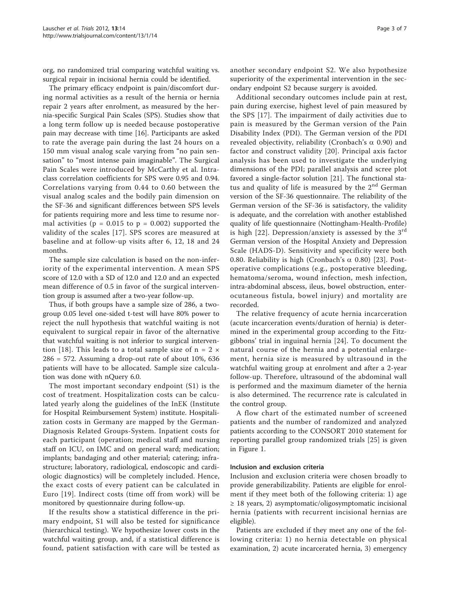[org](http://isrctn.org), no randomized trial comparing watchful waiting vs. surgical repair in incisional hernia could be identified.

The primary efficacy endpoint is pain/discomfort during normal activities as a result of the hernia or hernia repair 2 years after enrolment, as measured by the hernia-specific Surgical Pain Scales (SPS). Studies show that a long term follow up is needed because postoperative pain may decrease with time [[16\]](#page-6-0). Participants are asked to rate the average pain during the last 24 hours on a 150 mm visual analog scale varying from "no pain sensation" to "most intense pain imaginable". The Surgical Pain Scales were introduced by McCarthy et al. Intraclass correlation coefficients for SPS were 0.95 and 0.94. Correlations varying from 0.44 to 0.60 between the visual analog scales and the bodily pain dimension on the SF-36 and significant differences between SPS levels for patients requiring more and less time to resume normal activities ( $p = 0.015$  to  $p = 0.002$ ) supported the validity of the scales [[17](#page-6-0)]. SPS scores are measured at baseline and at follow-up visits after 6, 12, 18 and 24 months.

The sample size calculation is based on the non-inferiority of the experimental intervention. A mean SPS score of 12.0 with a SD of 12.0 and 12.0 and an expected mean difference of 0.5 in favor of the surgical intervention group is assumed after a two-year follow-up.

Thus, if both groups have a sample size of 286, a twogroup 0.05 level one-sided t-test will have 80% power to reject the null hypothesis that watchful waiting is not equivalent to surgical repair in favor of the alternative that watchful waiting is not inferior to surgical interven-tion [[18](#page-6-0)]. This leads to a total sample size of  $n = 2 \times$  $286 = 572$ . Assuming a drop-out rate of about 10%, 636 patients will have to be allocated. Sample size calculation was done with nQuery 6.0.

The most important secondary endpoint (S1) is the cost of treatment. Hospitalization costs can be calculated yearly along the guidelines of the InEK (Institute for Hospital Reimbursement System) institute. Hospitalization costs in Germany are mapped by the German-Diagnosis Related Groups-System. Inpatient costs for each participant (operation; medical staff and nursing staff on ICU, on IMC and on general ward; medication; implants; bandaging and other material; catering; infrastructure; laboratory, radiological, endoscopic and cardiologic diagnostics) will be completely included. Hence, the exact costs of every patient can be calculated in Euro [\[19\]](#page-6-0). Indirect costs (time off from work) will be monitored by questionnaire during follow-up.

If the results show a statistical difference in the primary endpoint, S1 will also be tested for significance (hierarchical testing). We hypothesize lower costs in the watchful waiting group, and, if a statistical difference is found, patient satisfaction with care will be tested as another secondary endpoint S2. We also hypothesize superiority of the experimental intervention in the secondary endpoint S2 because surgery is avoided.

Additional secondary outcomes include pain at rest, pain during exercise, highest level of pain measured by the SPS [\[17](#page-6-0)]. The impairment of daily activities due to pain is measured by the German version of the Pain Disability Index (PDI). The German version of the PDI revealed objectivity, reliability (Cronbach's  $\alpha$  0.90) and factor and construct validity [\[20\]](#page-6-0). Principal axis factor analysis has been used to investigate the underlying dimensions of the PDI; parallel analysis and scree plot favored a single-factor solution [\[21](#page-6-0)]. The functional status and quality of life is measured by the  $2<sup>nd</sup>$  German version of the SF-36 questionnaire. The reliability of the German version of the SF-36 is satisfactory, the validity is adequate, and the correlation with another established quality of life questionnaire (Nottingham-Health-Profile) is high  $[22]$  $[22]$  $[22]$ . Depression/anxiety is assessed by the  $3<sup>rd</sup>$ German version of the Hospital Anxiety and Depression Scale (HADS-D). Sensitivity and specificity were both 0.80. Reliability is high (Cronbach's  $\alpha$  0.80) [[23\]](#page-6-0). Postoperative complications (e.g., postoperative bleeding, hematoma/seroma, wound infection, mesh infection, intra-abdominal abscess, ileus, bowel obstruction, enterocutaneous fistula, bowel injury) and mortality are recorded.

The relative frequency of acute hernia incarceration (acute incarceration events/duration of hernia) is determined in the experimental group according to the Fitzgibbons' trial in inguinal hernia [\[24\]](#page-6-0). To document the natural course of the hernia and a potential enlargement, hernia size is measured by ultrasound in the watchful waiting group at enrolment and after a 2-year follow-up. Therefore, ultrasound of the abdominal wall is performed and the maximum diameter of the hernia is also determined. The recurrence rate is calculated in the control group.

A flow chart of the estimated number of screened patients and the number of randomized and analyzed patients according to the CONSORT 2010 statement for reporting parallel group randomized trials [[25\]](#page-6-0) is given in Figure [1.](#page-3-0)

## Inclusion and exclusion criteria

Inclusion and exclusion criteria were chosen broadly to provide generabilizability. Patients are eligible for enrolment if they meet both of the following criteria: 1) age ≥ 18 years, 2) asymptomatic/oligosymptomatic incisional hernia (patients with recurrent incisional hernias are eligible).

Patients are excluded if they meet any one of the following criteria: 1) no hernia detectable on physical examination, 2) acute incarcerated hernia, 3) emergency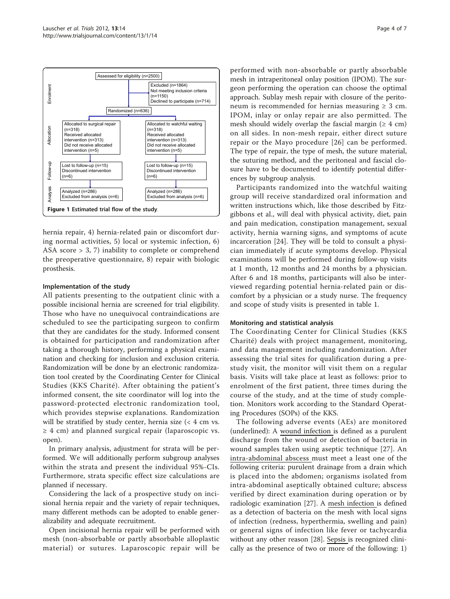<span id="page-3-0"></span>

hernia repair, 4) hernia-related pain or discomfort during normal activities, 5) local or systemic infection, 6) ASA score > 3, 7) inability to complete or comprehend the preoperative questionnaire, 8) repair with biologic prosthesis.

## Implementation of the study

All patients presenting to the outpatient clinic with a possible incisional hernia are screened for trial eligibility. Those who have no unequivocal contraindications are scheduled to see the participating surgeon to confirm that they are candidates for the study. Informed consent is obtained for participation and randomization after taking a thorough history, performing a physical examination and checking for inclusion and exclusion criteria. Randomization will be done by an electronic randomization tool created by the Coordinating Center for Clinical Studies (KKS Charité). After obtaining the patient's informed consent, the site coordinator will log into the password-protected electronic randomization tool, which provides stepwise explanations. Randomization will be stratified by study center, hernia size  $\zeta$  4 cm vs.  $\geq$  4 cm) and planned surgical repair (laparoscopic vs. open).

In primary analysis, adjustment for strata will be performed. We will additionally perform subgroup analyses within the strata and present the individual 95%-CIs. Furthermore, strata specific effect size calculations are planned if necessary.

Considering the lack of a prospective study on incisional hernia repair and the variety of repair techniques, many different methods can be adopted to enable generalizability and adequate recruitment.

Open incisional hernia repair will be performed with mesh (non-absorbable or partly absorbable alloplastic material) or sutures. Laparoscopic repair will be performed with non-absorbable or partly absorbable mesh in intraperitoneal onlay position (IPOM). The surgeon performing the operation can choose the optimal approach. Sublay mesh repair with closure of the peritoneum is recommended for hernias measuring  $\geq 3$  cm. IPOM, inlay or onlay repair are also permitted. The mesh should widely overlap the fascial margin ( $\geq 4$  cm) on all sides. In non-mesh repair, either direct suture repair or the Mayo procedure [[26](#page-6-0)] can be performed. The type of repair, the type of mesh, the suture material, the suturing method, and the peritoneal and fascial closure have to be documented to identify potential differences by subgroup analysis.

Participants randomized into the watchful waiting group will receive standardized oral information and written instructions which, like those described by Fitzgibbons et al., will deal with physical activity, diet, pain and pain medication, constipation management, sexual activity, hernia warning signs, and symptoms of acute incarceration [[24\]](#page-6-0). They will be told to consult a physician immediately if acute symptoms develop. Physical examinations will be performed during follow-up visits at 1 month, 12 months and 24 months by a physician. After 6 and 18 months, participants will also be interviewed regarding potential hernia-related pain or discomfort by a physician or a study nurse. The frequency and scope of study visits is presented in table [1.](#page-4-0)

## Monitoring and statistical analysis

The Coordinating Center for Clinical Studies (KKS Charité) deals with project management, monitoring, and data management including randomization. After assessing the trial sites for qualification during a prestudy visit, the monitor will visit them on a regular basis. Visits will take place at least as follows: prior to enrolment of the first patient, three times during the course of the study, and at the time of study completion. Monitors work according to the Standard Operating Procedures (SOPs) of the KKS.

The following adverse events (AEs) are monitored (underlined): A wound infection is defined as a purulent discharge from the wound or detection of bacteria in wound samples taken using aseptic technique [[27\]](#page-6-0). An intra-abdominal abscess must meet a least one of the following criteria: purulent drainage from a drain which is placed into the abdomen; organisms isolated from intra-abdominal aseptically obtained culture; abscess verified by direct examination during operation or by radiologic examination [[27](#page-6-0)]. A mesh infection is defined as a detection of bacteria on the mesh with local signs of infection (redness, hyperthermia, swelling and pain) or general signs of infection like fever or tachycardia without any other reason [[28](#page-6-0)]. Sepsis is recognized clinically as the presence of two or more of the following: 1)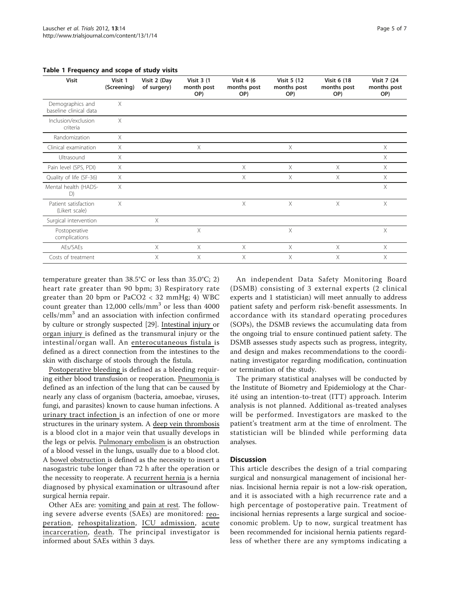<span id="page-4-0"></span>

|  |  | Table 1 Frequency and scope of study visits |  |  |  |  |  |
|--|--|---------------------------------------------|--|--|--|--|--|
|--|--|---------------------------------------------|--|--|--|--|--|

| <b>Visit</b>                               | Visit 1<br>(Screening) | Visit 2 (Day<br>of surgery) | <b>Visit 3 (1)</b><br>month post<br>OP) | <b>Visit 4 (6)</b><br>months post<br>OP) | <b>Visit 5 (12)</b><br>months post<br>OP) | Visit 6 (18)<br>months post<br>OP) | <b>Visit 7 (24</b><br>months post<br>OP) |
|--------------------------------------------|------------------------|-----------------------------|-----------------------------------------|------------------------------------------|-------------------------------------------|------------------------------------|------------------------------------------|
| Demographics and<br>baseline clinical data | $\times$               |                             |                                         |                                          |                                           |                                    |                                          |
| Inclusion/exclusion<br>criteria            | X                      |                             |                                         |                                          |                                           |                                    |                                          |
| Randomization                              | $\times$               |                             |                                         |                                          |                                           |                                    |                                          |
| Clinical examination                       | X.                     |                             | X                                       |                                          | $\times$                                  |                                    | $\times$                                 |
| Ultrasound                                 | X.                     |                             |                                         |                                          |                                           |                                    | X                                        |
| Pain level (SPS, PDI)                      | X.                     |                             |                                         | X                                        | $\times$                                  | $\times$                           | $\times$                                 |
| Quality of life (SF-36)                    | X.                     |                             |                                         | X                                        | $\times$                                  | $\times$                           | X                                        |
| Mental health (HADS-<br>D)                 | $\times$               |                             |                                         |                                          |                                           |                                    | $\times$                                 |
| Patient satisfaction<br>(Likert scale)     | X                      |                             |                                         | $\times$                                 | $\times$                                  | Χ                                  | $\times$                                 |
| Surgical intervention                      |                        | $\times$                    |                                         |                                          |                                           |                                    |                                          |
| Postoperative<br>complications             |                        |                             | X                                       |                                          | X                                         |                                    | $\times$                                 |
| AEs/SAEs                                   |                        | $\times$                    | $\times$                                | $\times$                                 | $\times$                                  | $\times$                           | $\times$                                 |
| Costs of treatment                         |                        | X                           | X                                       | $\times$                                 | $\times$                                  | $\times$                           | $\times$                                 |

temperature greater than 38.5°C or less than 35.0°C; 2) heart rate greater than 90 bpm; 3) Respiratory rate greater than 20 bpm or PaCO2 < 32 mmHg; 4) WBC count greater than  $12,000$  cells/mm<sup>3</sup> or less than  $4000$ cells/mm<sup>3</sup> and an association with infection confirmed by culture or strongly suspected [\[29](#page-6-0)]. Intestinal injury or organ injury is defined as the transmural injury or the intestinal/organ wall. An enterocutaneous fistula is defined as a direct connection from the intestines to the skin with discharge of stools through the fistula.

Postoperative bleeding is defined as a bleeding requiring either blood transfusion or reoperation. Pneumonia is defined as an infection of the lung that can be caused by nearly any class of organism (bacteria, amoebae, viruses, fungi, and parasites) known to cause human infections. A urinary tract infection is an infection of one or more structures in the urinary system. A deep vein thrombosis is a blood clot in a major vein that usually develops in the legs or pelvis. Pulmonary embolism is an obstruction of a blood vessel in the lungs, usually due to a blood clot. A bowel obstruction is defined as the necessity to insert a nasogastric tube longer than 72 h after the operation or the necessity to reoperate. A recurrent hernia is a hernia diagnosed by physical examination or ultrasound after surgical hernia repair.

Other AEs are: vomiting and pain at rest. The following severe adverse events (SAEs) are monitored: reoperation, rehospitalization, ICU admission, acute incarceration, death. The principal investigator is informed about SAEs within 3 days.

An independent Data Safety Monitoring Board (DSMB) consisting of 3 external experts (2 clinical experts and 1 statistician) will meet annually to address patient safety and perform risk-benefit assessments. In accordance with its standard operating procedures (SOPs), the DSMB reviews the accumulating data from the ongoing trial to ensure continued patient safety. The DSMB assesses study aspects such as progress, integrity, and design and makes recommendations to the coordinating investigator regarding modification, continuation or termination of the study.

The primary statistical analyses will be conducted by the Institute of Biometry and Epidemiology at the Charité using an intention-to-treat (ITT) approach. Interim analysis is not planned. Additional as-treated analyses will be performed. Investigators are masked to the patient's treatment arm at the time of enrolment. The statistician will be blinded while performing data analyses.

# **Discussion**

This article describes the design of a trial comparing surgical and nonsurgical management of incisional hernias. Incisional hernia repair is not a low-risk operation, and it is associated with a high recurrence rate and a high percentage of postoperative pain. Treatment of incisional hernias represents a large surgical and socioeconomic problem. Up to now, surgical treatment has been recommended for incisional hernia patients regardless of whether there are any symptoms indicating a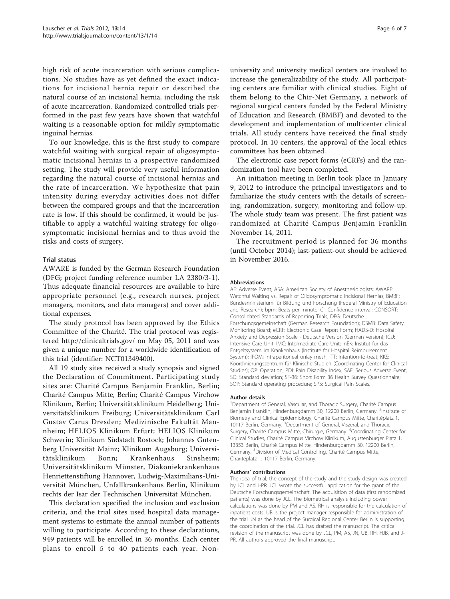high risk of acute incarceration with serious complications. No studies have as yet defined the exact indications for incisional hernia repair or described the natural course of an incisional hernia, including the risk of acute incarceration. Randomized controlled trials performed in the past few years have shown that watchful waiting is a reasonable option for mildly symptomatic inguinal hernias.

To our knowledge, this is the first study to compare watchful waiting with surgical repair of oligosymptomatic incisional hernias in a prospective randomized setting. The study will provide very useful information regarding the natural course of incisional hernias and the rate of incarceration. We hypothesize that pain intensity during everyday activities does not differ between the compared groups and that the incarceration rate is low. If this should be confirmed, it would be justifiable to apply a watchful waiting strategy for oligosymptomatic incisional hernias and to thus avoid the risks and costs of surgery.

# Trial status

AWARE is funded by the German Research Foundation (DFG; project funding reference number LA 2380/3-1). Thus adequate financial resources are available to hire appropriate personnel (e.g., research nurses, project managers, monitors, and data managers) and cover additional expenses.

The study protocol has been approved by the Ethics Committee of the Charité. The trial protocol was registered<http://clinicaltrials.gov/> on May 05, 2011 and was given a unique number for a worldwide identification of this trial (identifier: NCT01349400).

All 19 study sites received a study synopsis and signed the Declaration of Commitment. Participating study sites are: Charité Campus Benjamin Franklin, Berlin; Charité Campus Mitte, Berlin; Charité Campus Virchow Klinikum, Berlin; Universitätsklinikum Heidelberg; Universitätsklinikum Freiburg; Universitätsklinikum Carl Gustav Carus Dresden; Medizinische Fakultät Mannheim; HELIOS Klinikum Erfurt; HELIOS Klinikum Schwerin; Klinikum Südstadt Rostock; Johannes Gutenberg Universität Mainz; Klinikum Augsburg; Universitätsklinikum Bonn; Krankenhaus Sinsheim; Universitätsklinikum Münster, Diakoniekrankenhaus Henriettenstiftung Hannover, Ludwig-Maximilians-Universität München, Unfallkrankenhaus Berlin, Klinikum rechts der Isar der Technischen Universität München.

This declaration specified the inclusion and exclusion criteria, and the trial sites used hospital data management systems to estimate the annual number of patients willing to participate. According to these declarations, 949 patients will be enrolled in 36 months. Each center plans to enroll 5 to 40 patients each year. Nonuniversity and university medical centers are involved to increase the generalizability of the study. All participating centers are familiar with clinical studies. Eight of them belong to the Chir-Net Germany, a network of regional surgical centers funded by the Federal Ministry of Education and Research (BMBF) and devoted to the development and implementation of multicenter clinical trials. All study centers have received the final study protocol. In 10 centers, the approval of the local ethics committees has been obtained.

The electronic case report forms (eCRFs) and the randomization tool have been completed.

An initiation meeting in Berlin took place in January 9, 2012 to introduce the principal investigators and to familiarize the study centers with the details of screening, randomization, surgery, monitoring and follow-up. The whole study team was present. The first patient was randomized at Charité Campus Benjamin Franklin November 14, 2011.

The recruitment period is planned for 36 months (until October 2014); last-patient-out should be achieved in November 2016.

#### **Abbreviations**

AE: Adverse Event; ASA: American Society of Anesthesiologists; AWARE: Watchful Waiting vs. Repair of Oligosymptomatic Incisional Hernias; BMBF: Bundesministerium für Bildung und Forschung (Federal Ministry of Education and Research); bpm: Beats per minute; CI: Confidence interval; CONSORT: Consolidated Standards of Reporting Trials; DFG: Deutsche Forschungsgemeinschaft (German Research Foundation); DSMB: Data Safety Monitoring Board; eCRF: Electronic Case Report Form; HADS-D: Hospital Anxiety and Depression Scale - Deutsche Version (German version); ICU: Intensive Care Unit; IMC: Intermediate Care Unit; InEK: Institut für das Entgeltsystem im Krankenhaus (Institute for Hospital Reimbursement System); IPOM: Intraperitoneal onlay mesh; ITT: Intention-to-treat; KKS: Koordinierungszentrum für Klinische Studien (Coordinating Center for Clinical Studies); OP: Operation; PDI: Pain Disability Index; SAE: Serious Adverse Event; SD: Standard deviation; SF-36: Short Form 36 Health Survey Questionnaire; SOP: Standard operating procedure; SPS: Surgical Pain Scales.

#### Author details

<sup>1</sup>Department of General, Vascular, and Thoracic Surgery, Charité Campus Benjamin Franklin, Hindenburgdamm 30, 12200 Berlin, Germany. <sup>2</sup>Institute of Biometry and Clinical Epidemiology, Charité Campus Mitte, Charitéplatz 1, 10117 Berlin, Germany. <sup>3</sup>Department of General, Viszeral, and Thoracic Surgery, Charité Campus Mitte, Chirurgie, Germany. <sup>4</sup>Coordinating Center for Clinical Studies, Charité Campus Virchow Klinikum, Augustenburger Platz 1, 13353 Berlin, Charité Campus Mitte, Hindenburgdamm 30, 12200 Berlin, Germany. <sup>5</sup>Division of Medical Controlling, Charité Campus Mitte, Charitéplatz 1, 10117 Berlin, Germany.

#### Authors' contributions

The idea of trial, the concept of the study and the study design was created by JCL and J-PR. JCL wrote the successful application for the grant of the Deutsche Forschungsgemeinschaft. The acquisition of data (first randomized patients) was done by JCL. The biometrical analysis including power calculations was done by PM and AS. RH is responsible for the calculation of inpatient costs. UB is the project manager responsible for administration of the trial. JN as the head of the Surgical Regional Center Berlin is supporting the coordination of the trial. JCL has drafted the manuscript. The critical revision of the manuscript was done by JCL, PM, AS, JN, UB, RH, HJB, and J-PR. All authors approved the final manuscript.